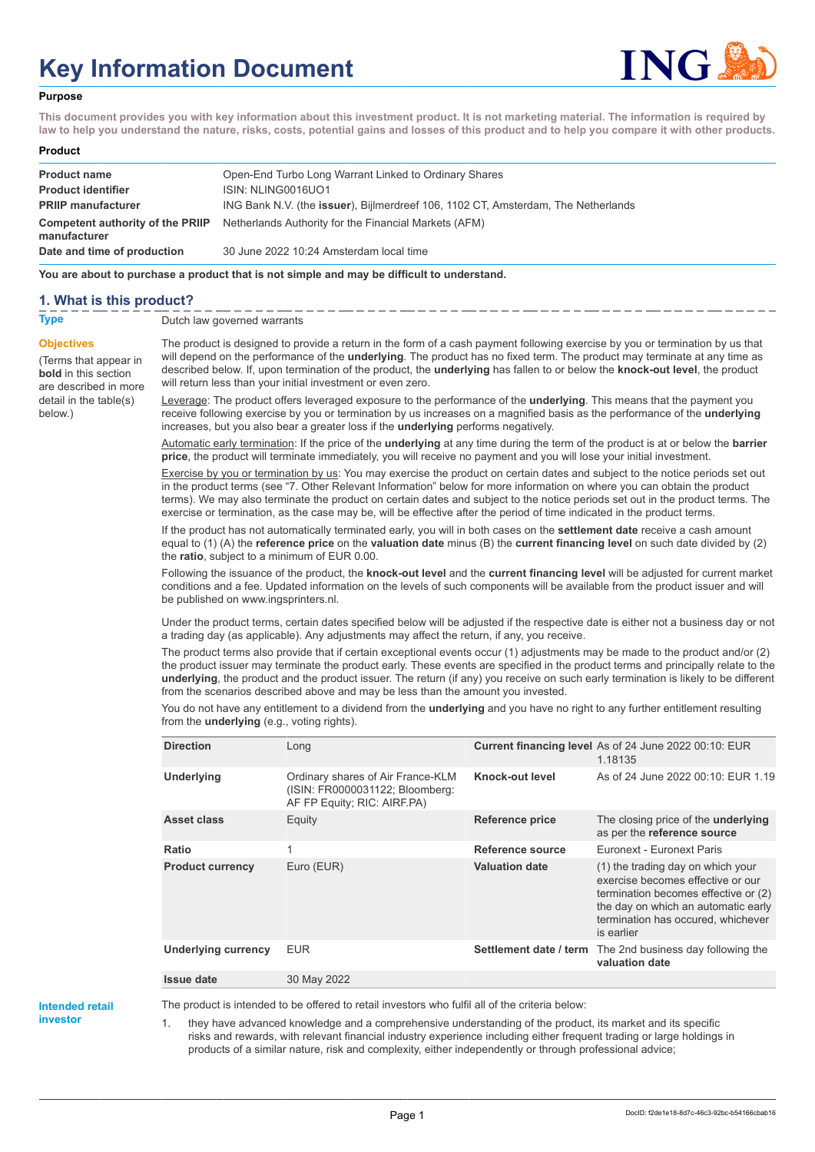# **Key Information Document**



#### **Purpose**

**This document provides you with key information about this investment product. It is not marketing material. The information is required by law to help you understand the nature, risks, costs, potential gains and losses of this product and to help you compare it with other products.**

| Product |  |
|---------|--|
|---------|--|

| <b>Product name</b>                              | Open-End Turbo Long Warrant Linked to Ordinary Shares                                     |
|--------------------------------------------------|-------------------------------------------------------------------------------------------|
| <b>Product identifier</b>                        | ISIN: NLING0016UO1                                                                        |
| <b>PRIIP manufacturer</b>                        | ING Bank N.V. (the <b>issuer</b> ), Bijlmerdreef 106, 1102 CT, Amsterdam, The Netherlands |
| Competent authority of the PRIIP<br>manufacturer | Netherlands Authority for the Financial Markets (AFM)                                     |
| Date and time of production                      | 30 June 2022 10:24 Amsterdam local time                                                   |

**You are about to purchase a product that is not simple and may be difficult to understand.**

### **1. What is this product?**

**Objectives**

below.)

(Terms that appear in **bold** in this section are described in more detail in the table(s)

**Type** Dutch law governed warrants

The product is designed to provide a return in the form of a cash payment following exercise by you or termination by us that will depend on the performance of the **underlying**. The product has no fixed term. The product may terminate at any time as described below. If, upon termination of the product, the **underlying** has fallen to or below the **knock-out level**, the product will return less than your initial investment or even zero.

Leverage: The product offers leveraged exposure to the performance of the **underlying**. This means that the payment you receive following exercise by you or termination by us increases on a magnified basis as the performance of the **underlying** increases, but you also bear a greater loss if the **underlying** performs negatively.

Automatic early termination: If the price of the **underlying** at any time during the term of the product is at or below the **barrier price**, the product will terminate immediately, you will receive no payment and you will lose your initial investment.

Exercise by you or termination by us: You may exercise the product on certain dates and subject to the notice periods set out in the product terms (see "7. Other Relevant Information" below for more information on where you can obtain the product terms). We may also terminate the product on certain dates and subject to the notice periods set out in the product terms. The exercise or termination, as the case may be, will be effective after the period of time indicated in the product terms.

If the product has not automatically terminated early, you will in both cases on the **settlement date** receive a cash amount equal to (1) (A) the **reference price** on the **valuation date** minus (B) the **current financing level** on such date divided by (2) the **ratio**, subject to a minimum of EUR 0.00.

Following the issuance of the product, the **knock-out level** and the **current financing level** will be adjusted for current market conditions and a fee. Updated information on the levels of such components will be available from the product issuer and will be published on www.ingsprinters.nl.

Under the product terms, certain dates specified below will be adjusted if the respective date is either not a business day or not a trading day (as applicable). Any adjustments may affect the return, if any, you receive.

The product terms also provide that if certain exceptional events occur (1) adjustments may be made to the product and/or (2) the product issuer may terminate the product early. These events are specified in the product terms and principally relate to the **underlying**, the product and the product issuer. The return (if any) you receive on such early termination is likely to be different from the scenarios described above and may be less than the amount you invested.

You do not have any entitlement to a dividend from the **underlying** and you have no right to any further entitlement resulting from the **underlying** (e.g., voting rights).

| <b>Direction</b>        | Long                                                                                                |                       | Current financing level As of 24 June 2022 00:10: EUR<br>1.18135                                                                                                                                          |
|-------------------------|-----------------------------------------------------------------------------------------------------|-----------------------|-----------------------------------------------------------------------------------------------------------------------------------------------------------------------------------------------------------|
| <b>Underlying</b>       | Ordinary shares of Air France-KLM<br>(ISIN: FR0000031122; Bloomberg:<br>AF FP Equity; RIC: AIRF.PA) | Knock-out level       | As of 24 June 2022 00:10: EUR 1.19                                                                                                                                                                        |
| Asset class             | Equity                                                                                              | Reference price       | The closing price of the <b>underlying</b><br>as per the reference source                                                                                                                                 |
| Ratio                   |                                                                                                     | Reference source      | Euronext - Euronext Paris                                                                                                                                                                                 |
| <b>Product currency</b> | Euro (EUR)                                                                                          | <b>Valuation date</b> | (1) the trading day on which your<br>exercise becomes effective or our<br>termination becomes effective or (2)<br>the day on which an automatic early<br>termination has occured, whichever<br>is earlier |
| Underlying currency     | <b>EUR</b>                                                                                          |                       | Settlement date / term The 2nd business day following the<br>valuation date                                                                                                                               |
| <b>Issue date</b>       | 30 May 2022                                                                                         |                       |                                                                                                                                                                                                           |

**Intended retail investor**

The product is intended to be offered to retail investors who fulfil all of the criteria below:

1. they have advanced knowledge and a comprehensive understanding of the product, its market and its specific risks and rewards, with relevant financial industry experience including either frequent trading or large holdings in products of a similar nature, risk and complexity, either independently or through professional advice;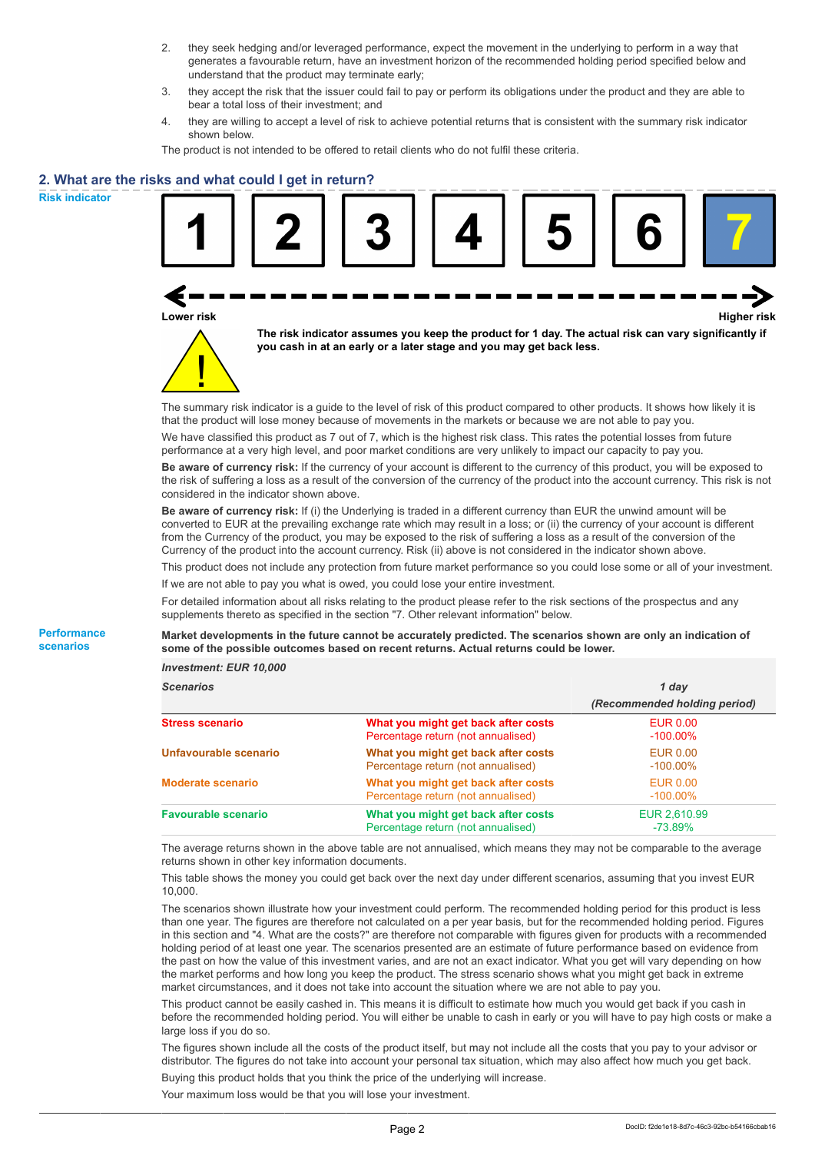- 2. they seek hedging and/or leveraged performance, expect the movement in the underlying to perform in a way that generates a favourable return, have an investment horizon of the recommended holding period specified below and understand that the product may terminate early;
- 3. they accept the risk that the issuer could fail to pay or perform its obligations under the product and they are able to bear a total loss of their investment; and
- 4. they are willing to accept a level of risk to achieve potential returns that is consistent with the summary risk indicator shown below.

The product is not intended to be offered to retail clients who do not fulfil these criteria.

#### **2. What are the risks and what could I get in return?**

**Risk indicator**

**Performance scenarios**

| Lower risk |  | The risk indicator assumes you keep the product for 1 day. The actual risk can vary significantly if<br>you cash in at an early or a later stage and you may get back less. |  | <b>Higher risk</b> |
|------------|--|-----------------------------------------------------------------------------------------------------------------------------------------------------------------------------|--|--------------------|

We have classified this product as 7 out of 7, which is the highest risk class. This rates the potential losses from future performance at a very high level, and poor market conditions are very unlikely to impact our capacity to pay you.

**Be aware of currency risk:** If the currency of your account is different to the currency of this product, you will be exposed to the risk of suffering a loss as a result of the conversion of the currency of the product into the account currency. This risk is not considered in the indicator shown above.

**Be aware of currency risk:** If (i) the Underlying is traded in a different currency than EUR the unwind amount will be converted to EUR at the prevailing exchange rate which may result in a loss; or (ii) the currency of your account is different from the Currency of the product, you may be exposed to the risk of suffering a loss as a result of the conversion of the Currency of the product into the account currency. Risk (ii) above is not considered in the indicator shown above.

This product does not include any protection from future market performance so you could lose some or all of your investment. If we are not able to pay you what is owed, you could lose your entire investment.

For detailed information about all risks relating to the product please refer to the risk sections of the prospectus and any supplements thereto as specified in the section "7. Other relevant information" below.

#### **Market developments in the future cannot be accurately predicted. The scenarios shown are only an indication of some of the possible outcomes based on recent returns. Actual returns could be lower.**

*Investment: EUR 10,000*

| <b>Scenarios</b>           |                                                                           | 1 day                          |
|----------------------------|---------------------------------------------------------------------------|--------------------------------|
|                            |                                                                           | (Recommended holding period)   |
| <b>Stress scenario</b>     | What you might get back after costs<br>Percentage return (not annualised) | <b>EUR 0.00</b><br>$-100.00\%$ |
| Unfavourable scenario      | What you might get back after costs<br>Percentage return (not annualised) | EUR 0.00<br>$-100.00\%$        |
| <b>Moderate scenario</b>   | What you might get back after costs<br>Percentage return (not annualised) | <b>EUR 0.00</b><br>$-100.00\%$ |
| <b>Favourable scenario</b> | What you might get back after costs<br>Percentage return (not annualised) | EUR 2,610.99<br>$-73.89%$      |

The average returns shown in the above table are not annualised, which means they may not be comparable to the average returns shown in other key information documents.

This table shows the money you could get back over the next day under different scenarios, assuming that you invest EUR 10,000.

The scenarios shown illustrate how your investment could perform. The recommended holding period for this product is less than one year. The figures are therefore not calculated on a per year basis, but for the recommended holding period. Figures in this section and "4. What are the costs?" are therefore not comparable with figures given for products with a recommended holding period of at least one year. The scenarios presented are an estimate of future performance based on evidence from the past on how the value of this investment varies, and are not an exact indicator. What you get will vary depending on how the market performs and how long you keep the product. The stress scenario shows what you might get back in extreme market circumstances, and it does not take into account the situation where we are not able to pay you.

This product cannot be easily cashed in. This means it is difficult to estimate how much you would get back if you cash in before the recommended holding period. You will either be unable to cash in early or you will have to pay high costs or make a large loss if you do so.

The figures shown include all the costs of the product itself, but may not include all the costs that you pay to your advisor or distributor. The figures do not take into account your personal tax situation, which may also affect how much you get back. Buying this product holds that you think the price of the underlying will increase.

Your maximum loss would be that you will lose your investment.